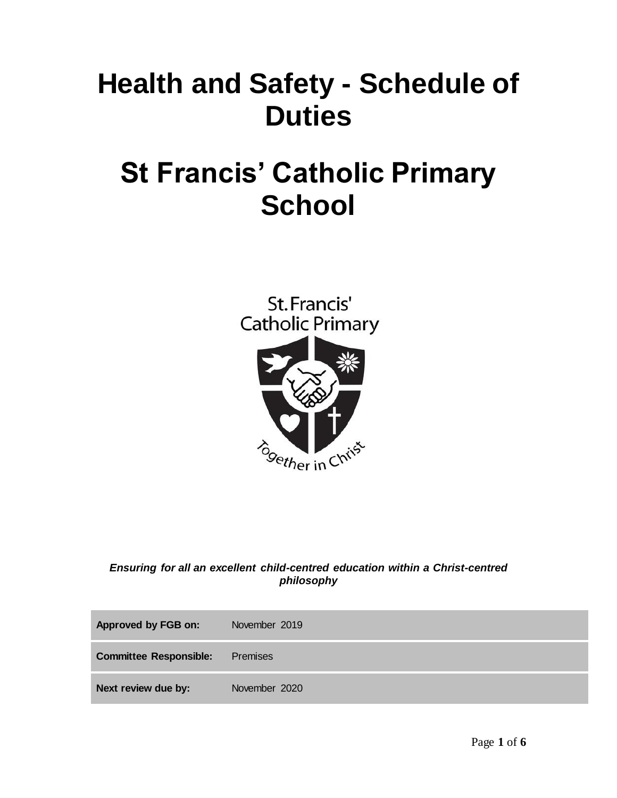# **Health and Safety - Schedule of Duties**

## **St Francis' Catholic Primary School**

St. Francis' **Catholic Primary** 



*Ensuring for all an excellent child-centred education within a Christ-centred philosophy*

| Approved by FGB on:           | November 2019 |
|-------------------------------|---------------|
| <b>Committee Responsible:</b> | Premises      |
| Next review due by:           | November 2020 |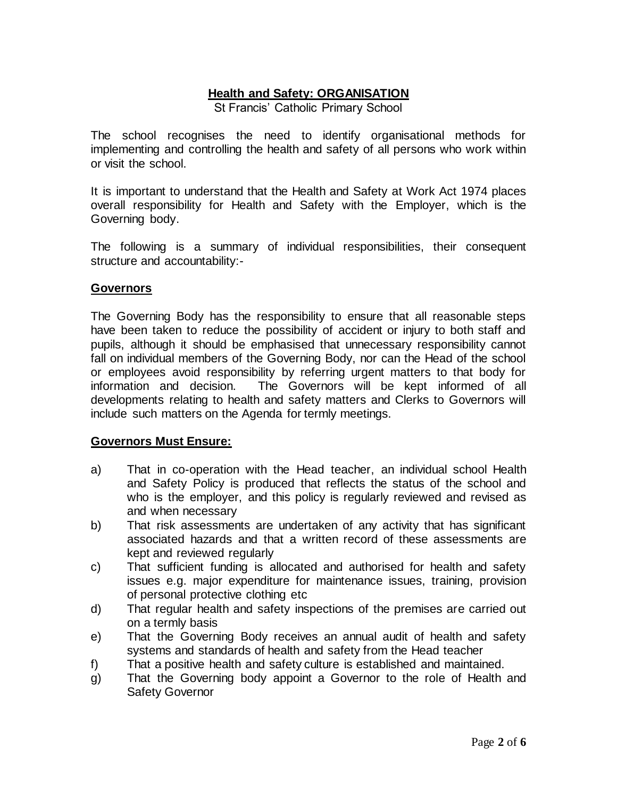## **Health and Safety: ORGANISATION**

St Francis' Catholic Primary School

The school recognises the need to identify organisational methods for implementing and controlling the health and safety of all persons who work within or visit the school.

It is important to understand that the Health and Safety at Work Act 1974 places overall responsibility for Health and Safety with the Employer, which is the Governing body.

The following is a summary of individual responsibilities, their consequent structure and accountability:-

#### **Governors**

The Governing Body has the responsibility to ensure that all reasonable steps have been taken to reduce the possibility of accident or injury to both staff and pupils, although it should be emphasised that unnecessary responsibility cannot fall on individual members of the Governing Body, nor can the Head of the school or employees avoid responsibility by referring urgent matters to that body for information and decision. The Governors will be kept informed of all developments relating to health and safety matters and Clerks to Governors will include such matters on the Agenda for termly meetings.

#### **Governors Must Ensure:**

- a) That in co-operation with the Head teacher, an individual school Health and Safety Policy is produced that reflects the status of the school and who is the employer, and this policy is regularly reviewed and revised as and when necessary
- b) That risk assessments are undertaken of any activity that has significant associated hazards and that a written record of these assessments are kept and reviewed regularly
- c) That sufficient funding is allocated and authorised for health and safety issues e.g. major expenditure for maintenance issues, training, provision of personal protective clothing etc
- d) That regular health and safety inspections of the premises are carried out on a termly basis
- e) That the Governing Body receives an annual audit of health and safety systems and standards of health and safety from the Head teacher
- f) That a positive health and safety culture is established and maintained.
- g) That the Governing body appoint a Governor to the role of Health and Safety Governor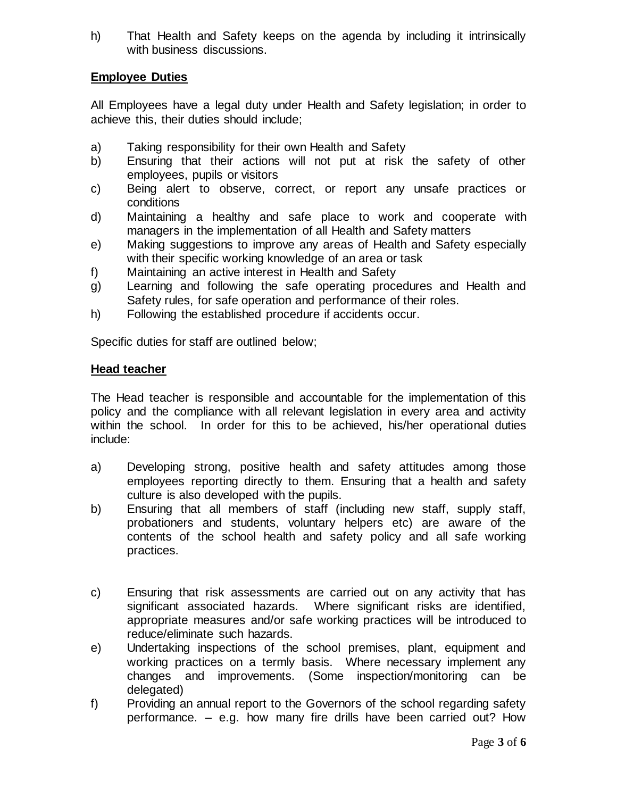h) That Health and Safety keeps on the agenda by including it intrinsically with business discussions.

#### **Employee Duties**

All Employees have a legal duty under Health and Safety legislation; in order to achieve this, their duties should include;

- a) Taking responsibility for their own Health and Safety
- b) Ensuring that their actions will not put at risk the safety of other employees, pupils or visitors
- c) Being alert to observe, correct, or report any unsafe practices or conditions
- d) Maintaining a healthy and safe place to work and cooperate with managers in the implementation of all Health and Safety matters
- e) Making suggestions to improve any areas of Health and Safety especially with their specific working knowledge of an area or task
- f) Maintaining an active interest in Health and Safety
- g) Learning and following the safe operating procedures and Health and Safety rules, for safe operation and performance of their roles.
- h) Following the established procedure if accidents occur.

Specific duties for staff are outlined below;

#### **Head teacher**

The Head teacher is responsible and accountable for the implementation of this policy and the compliance with all relevant legislation in every area and activity within the school. In order for this to be achieved, his/her operational duties include:

- a) Developing strong, positive health and safety attitudes among those employees reporting directly to them. Ensuring that a health and safety culture is also developed with the pupils.
- b) Ensuring that all members of staff (including new staff, supply staff, probationers and students, voluntary helpers etc) are aware of the contents of the school health and safety policy and all safe working practices.
- c) Ensuring that risk assessments are carried out on any activity that has significant associated hazards. Where significant risks are identified, appropriate measures and/or safe working practices will be introduced to reduce/eliminate such hazards.
- e) Undertaking inspections of the school premises, plant, equipment and working practices on a termly basis. Where necessary implement any changes and improvements. (Some inspection/monitoring can be delegated)
- f) Providing an annual report to the Governors of the school regarding safety performance. – e.g. how many fire drills have been carried out? How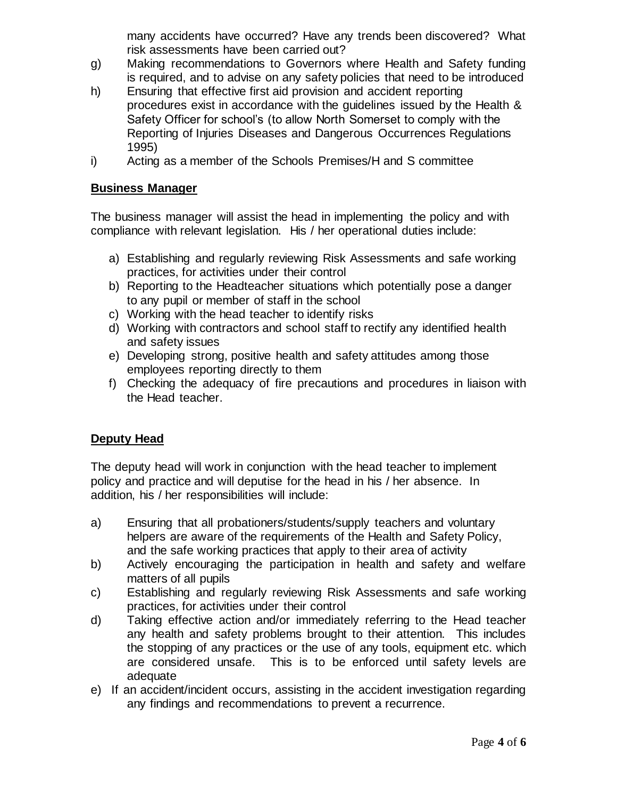many accidents have occurred? Have any trends been discovered? What risk assessments have been carried out?

- g) Making recommendations to Governors where Health and Safety funding is required, and to advise on any safety policies that need to be introduced
- h) Ensuring that effective first aid provision and accident reporting procedures exist in accordance with the guidelines issued by the Health & Safety Officer for school's (to allow North Somerset to comply with the Reporting of Injuries Diseases and Dangerous Occurrences Regulations 1995)
- i) Acting as a member of the Schools Premises/H and S committee

#### **Business Manager**

The business manager will assist the head in implementing the policy and with compliance with relevant legislation. His / her operational duties include:

- a) Establishing and regularly reviewing Risk Assessments and safe working practices, for activities under their control
- b) Reporting to the Headteacher situations which potentially pose a danger to any pupil or member of staff in the school
- c) Working with the head teacher to identify risks
- d) Working with contractors and school staff to rectify any identified health and safety issues
- e) Developing strong, positive health and safety attitudes among those employees reporting directly to them
- f) Checking the adequacy of fire precautions and procedures in liaison with the Head teacher.

## **Deputy Head**

The deputy head will work in conjunction with the head teacher to implement policy and practice and will deputise for the head in his / her absence. In addition, his / her responsibilities will include:

- a) Ensuring that all probationers/students/supply teachers and voluntary helpers are aware of the requirements of the Health and Safety Policy, and the safe working practices that apply to their area of activity
- b) Actively encouraging the participation in health and safety and welfare matters of all pupils
- c) Establishing and regularly reviewing Risk Assessments and safe working practices, for activities under their control
- d) Taking effective action and/or immediately referring to the Head teacher any health and safety problems brought to their attention. This includes the stopping of any practices or the use of any tools, equipment etc. which are considered unsafe. This is to be enforced until safety levels are adequate
- e) If an accident/incident occurs, assisting in the accident investigation regarding any findings and recommendations to prevent a recurrence.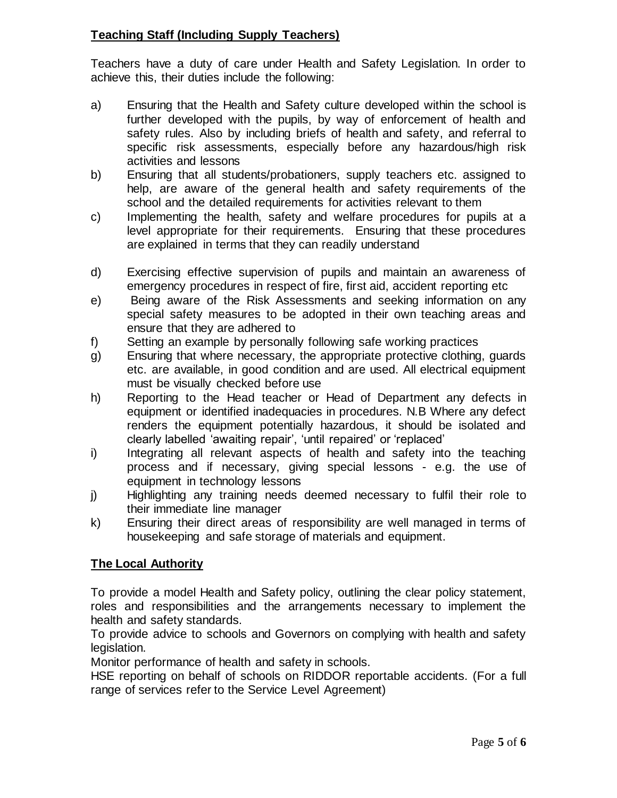## **Teaching Staff (Including Supply Teachers)**

Teachers have a duty of care under Health and Safety Legislation. In order to achieve this, their duties include the following:

- a) Ensuring that the Health and Safety culture developed within the school is further developed with the pupils, by way of enforcement of health and safety rules. Also by including briefs of health and safety, and referral to specific risk assessments, especially before any hazardous/high risk activities and lessons
- b) Ensuring that all students/probationers, supply teachers etc. assigned to help, are aware of the general health and safety requirements of the school and the detailed requirements for activities relevant to them
- c) Implementing the health, safety and welfare procedures for pupils at a level appropriate for their requirements. Ensuring that these procedures are explained in terms that they can readily understand
- d) Exercising effective supervision of pupils and maintain an awareness of emergency procedures in respect of fire, first aid, accident reporting etc
- e) Being aware of the Risk Assessments and seeking information on any special safety measures to be adopted in their own teaching areas and ensure that they are adhered to
- f) Setting an example by personally following safe working practices
- g) Ensuring that where necessary, the appropriate protective clothing, guards etc. are available, in good condition and are used. All electrical equipment must be visually checked before use
- h) Reporting to the Head teacher or Head of Department any defects in equipment or identified inadequacies in procedures. N.B Where any defect renders the equipment potentially hazardous, it should be isolated and clearly labelled 'awaiting repair', 'until repaired' or 'replaced'
- i) Integrating all relevant aspects of health and safety into the teaching process and if necessary, giving special lessons - e.g. the use of equipment in technology lessons
- j) Highlighting any training needs deemed necessary to fulfil their role to their immediate line manager
- k) Ensuring their direct areas of responsibility are well managed in terms of housekeeping and safe storage of materials and equipment.

## **The Local Authority**

To provide a model Health and Safety policy, outlining the clear policy statement, roles and responsibilities and the arrangements necessary to implement the health and safety standards.

To provide advice to schools and Governors on complying with health and safety legislation.

Monitor performance of health and safety in schools.

HSE reporting on behalf of schools on RIDDOR reportable accidents. (For a full range of services refer to the Service Level Agreement)